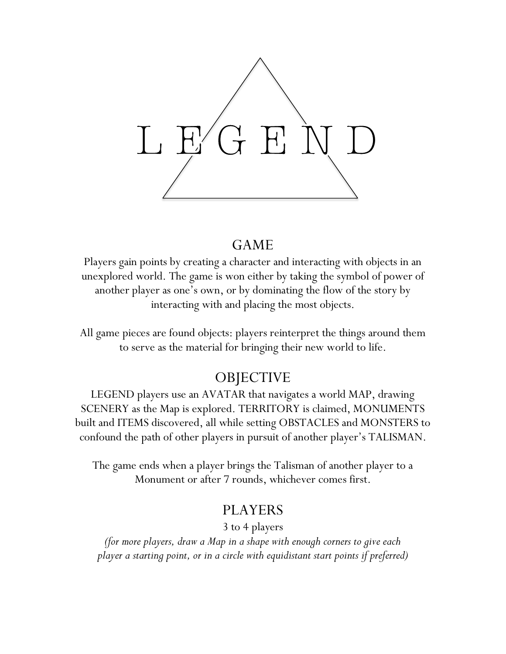

### GAME

Players gain points by creating a character and interacting with objects in an unexplored world. The game is won either by taking the symbol of power of another player as one's own, or by dominating the flow of the story by interacting with and placing the most objects.

All game pieces are found objects: players reinterpret the things around them to serve as the material for bringing their new world to life.

# **OBJECTIVE**

LEGEND players use an AVATAR that navigates a world MAP, drawing SCENERY as the Map is explored. TERRITORY is claimed, MONUMENTS built and ITEMS discovered, all while setting OBSTACLES and MONSTERS to confound the path of other players in pursuit of another player's TALISMAN.

The game ends when a player brings the Talisman of another player to a Monument or after 7 rounds, whichever comes first.

### PLAYERS

3 to 4 players

*(for more players, draw a Map in a shape with enough corners to give each player a starting point, or in a circle with equidistant start points if preferred)*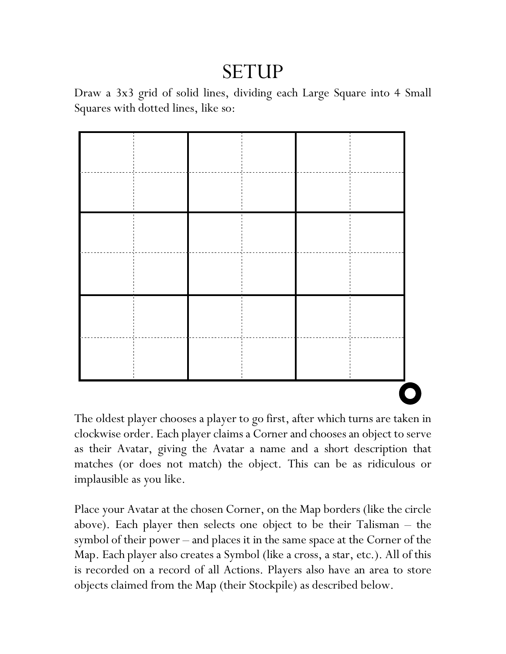# SETUP

Draw a 3x3 grid of solid lines, dividing each Large Square into 4 Small Squares with dotted lines, like so:



The oldest player chooses a player to go first, after which turns are taken in clockwise order. Each player claims a Corner and chooses an object to serve as their Avatar, giving the Avatar a name and a short description that matches (or does not match) the object. This can be as ridiculous or implausible as you like.

Place your Avatar at the chosen Corner, on the Map borders (like the circle above). Each player then selects one object to be their Talisman – the symbol of their power – and places it in the same space at the Corner of the Map. Each player also creates a Symbol (like a cross, a star, etc.). All of this is recorded on a record of all Actions. Players also have an area to store objects claimed from the Map (their Stockpile) as described below.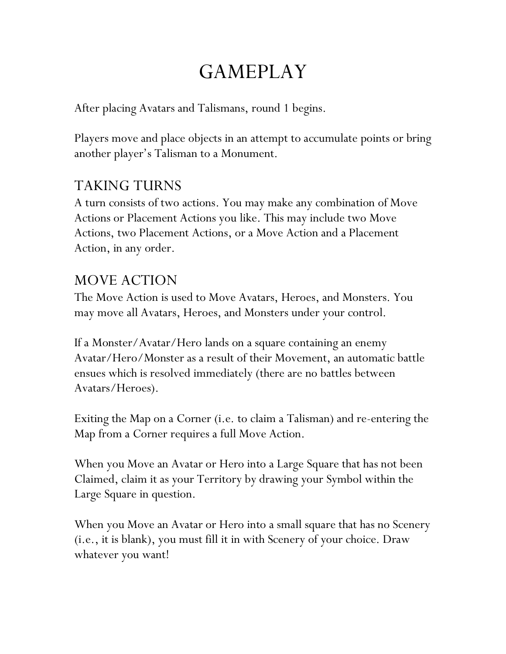# GAMEPLAY

After placing Avatars and Talismans, round 1 begins.

Players move and place objects in an attempt to accumulate points or bring another player's Talisman to a Monument.

# TAKING TURNS

A turn consists of two actions. You may make any combination of Move Actions or Placement Actions you like. This may include two Move Actions, two Placement Actions, or a Move Action and a Placement Action, in any order.

# MOVE ACTION

The Move Action is used to Move Avatars, Heroes, and Monsters. You may move all Avatars, Heroes, and Monsters under your control.

If a Monster/Avatar/Hero lands on a square containing an enemy Avatar/Hero/Monster as a result of their Movement, an automatic battle ensues which is resolved immediately (there are no battles between Avatars/Heroes).

Exiting the Map on a Corner (i.e. to claim a Talisman) and re-entering the Map from a Corner requires a full Move Action.

When you Move an Avatar or Hero into a Large Square that has not been Claimed, claim it as your Territory by drawing your Symbol within the Large Square in question.

When you Move an Avatar or Hero into a small square that has no Scenery (i.e., it is blank), you must fill it in with Scenery of your choice. Draw whatever you want!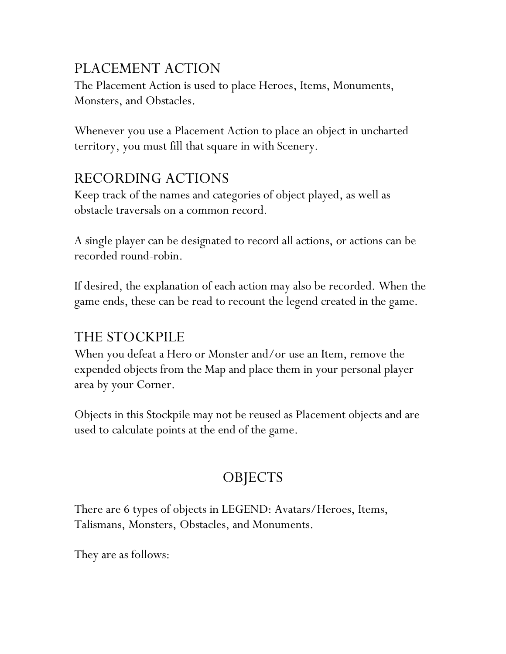# PLACEMENT ACTION

The Placement Action is used to place Heroes, Items, Monuments, Monsters, and Obstacles.

Whenever you use a Placement Action to place an object in uncharted territory, you must fill that square in with Scenery.

# RECORDING ACTIONS

Keep track of the names and categories of object played, as well as obstacle traversals on a common record.

A single player can be designated to record all actions, or actions can be recorded round-robin.

If desired, the explanation of each action may also be recorded. When the game ends, these can be read to recount the legend created in the game.

# THE STOCKPILE

When you defeat a Hero or Monster and/or use an Item, remove the expended objects from the Map and place them in your personal player area by your Corner.

Objects in this Stockpile may not be reused as Placement objects and are used to calculate points at the end of the game.

# **OBJECTS**

There are 6 types of objects in LEGEND: Avatars/Heroes, Items, Talismans, Monsters, Obstacles, and Monuments.

They are as follows: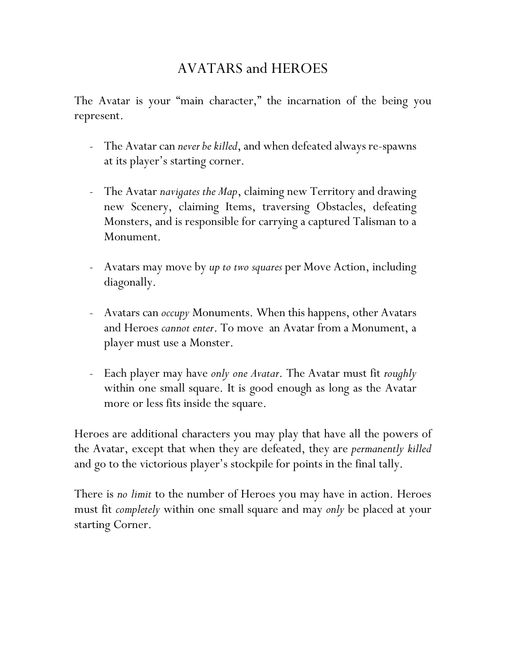# AVATARS and HEROES

The Avatar is your "main character," the incarnation of the being you represent.

- The Avatar can *never be killed*, and when defeated always re-spawns at its player's starting corner.
- The Avatar *navigates the Map*, claiming new Territory and drawing new Scenery, claiming Items, traversing Obstacles, defeating Monsters, and is responsible for carrying a captured Talisman to a Monument.
- Avatars may move by *up to two squares* per Move Action, including diagonally.
- Avatars can *occupy* Monuments. When this happens, other Avatars and Heroes *cannot enter*. To move an Avatar from a Monument, a player must use a Monster.
- Each player may have *only one Avatar*. The Avatar must fit *roughly* within one small square. It is good enough as long as the Avatar more or less fits inside the square.

Heroes are additional characters you may play that have all the powers of the Avatar, except that when they are defeated, they are *permanently killed* and go to the victorious player's stockpile for points in the final tally.

There is *no limit* to the number of Heroes you may have in action. Heroes must fit *completely* within one small square and may *only* be placed at your starting Corner.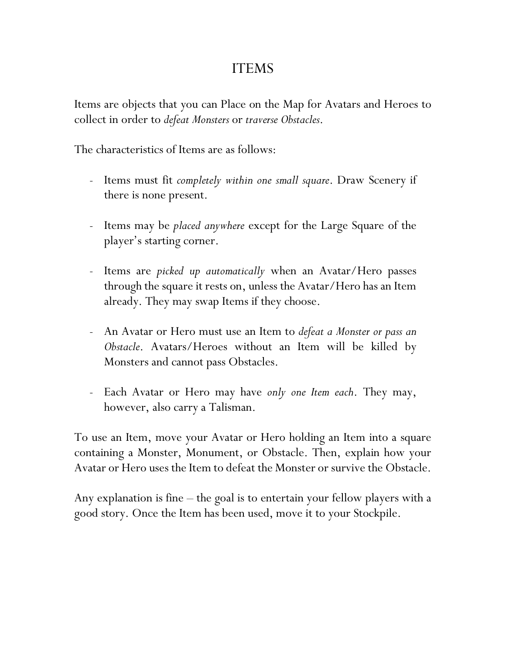### ITEMS

Items are objects that you can Place on the Map for Avatars and Heroes to collect in order to *defeat Monsters* or *traverse Obstacles*.

The characteristics of Items are as follows:

- Items must fit *completely within one small square*. Draw Scenery if there is none present.
- Items may be *placed anywhere* except for the Large Square of the player's starting corner.
- Items are *picked up automatically* when an Avatar/Hero passes through the square it rests on, unless the Avatar/Hero has an Item already. They may swap Items if they choose.
- An Avatar or Hero must use an Item to *defeat a Monster or pass an Obstacle*. Avatars/Heroes without an Item will be killed by Monsters and cannot pass Obstacles.
- Each Avatar or Hero may have *only one Item each*. They may, however, also carry a Talisman.

To use an Item, move your Avatar or Hero holding an Item into a square containing a Monster, Monument, or Obstacle. Then, explain how your Avatar or Hero uses the Item to defeat the Monster or survive the Obstacle.

Any explanation is fine – the goal is to entertain your fellow players with a good story. Once the Item has been used, move it to your Stockpile.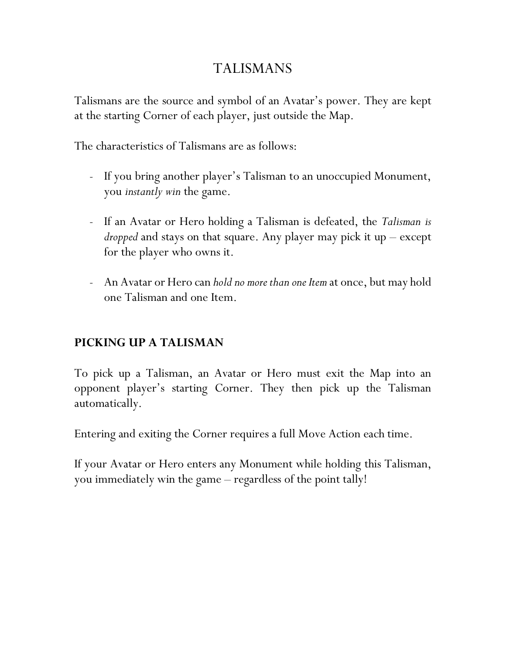### TALISMANS

Talismans are the source and symbol of an Avatar's power. They are kept at the starting Corner of each player, just outside the Map.

The characteristics of Talismans are as follows:

- If you bring another player's Talisman to an unoccupied Monument, you *instantly win* the game.
- If an Avatar or Hero holding a Talisman is defeated, the *Talisman is dropped* and stays on that square. Any player may pick it up – except for the player who owns it.
- An Avatar or Hero can *hold no more than one Item* at once, but may hold one Talisman and one Item.

### **PICKING UP A TALISMAN**

To pick up a Talisman, an Avatar or Hero must exit the Map into an opponent player's starting Corner. They then pick up the Talisman automatically.

Entering and exiting the Corner requires a full Move Action each time.

If your Avatar or Hero enters any Monument while holding this Talisman, you immediately win the game – regardless of the point tally!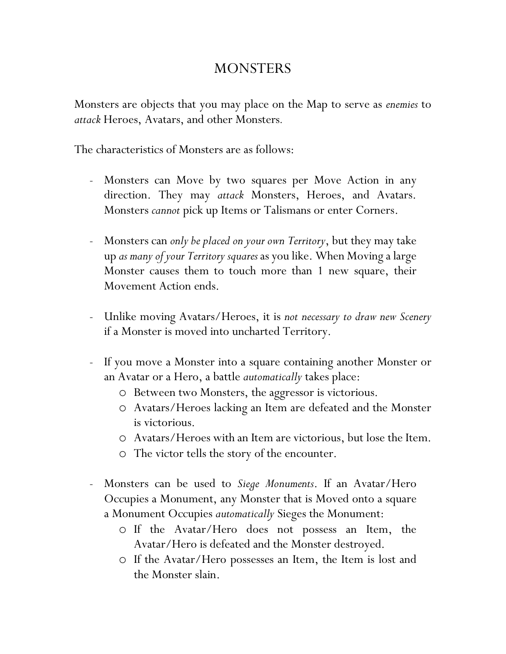### **MONSTERS**

Monsters are objects that you may place on the Map to serve as *enemies* to *attack* Heroes, Avatars, and other Monsters*.*

The characteristics of Monsters are as follows:

- Monsters can Move by two squares per Move Action in any direction. They may *attack* Monsters, Heroes, and Avatars. Monsters *cannot* pick up Items or Talismans or enter Corners.
- Monsters can *only be placed on your own Territory*, but they may take up *as many of your Territory squares*as you like. When Moving a large Monster causes them to touch more than 1 new square, their Movement Action ends.
- Unlike moving Avatars/Heroes, it is *not necessary to draw new Scenery* if a Monster is moved into uncharted Territory.
- If you move a Monster into a square containing another Monster or an Avatar or a Hero, a battle *automatically* takes place:
	- o Between two Monsters, the aggressor is victorious.
	- o Avatars/Heroes lacking an Item are defeated and the Monster is victorious.
	- o Avatars/Heroes with an Item are victorious, but lose the Item.
	- o The victor tells the story of the encounter.
- Monsters can be used to *Siege Monuments*. If an Avatar/Hero Occupies a Monument, any Monster that is Moved onto a square a Monument Occupies *automatically* Sieges the Monument:
	- o If the Avatar/Hero does not possess an Item, the Avatar/Hero is defeated and the Monster destroyed.
	- o If the Avatar/Hero possesses an Item, the Item is lost and the Monster slain.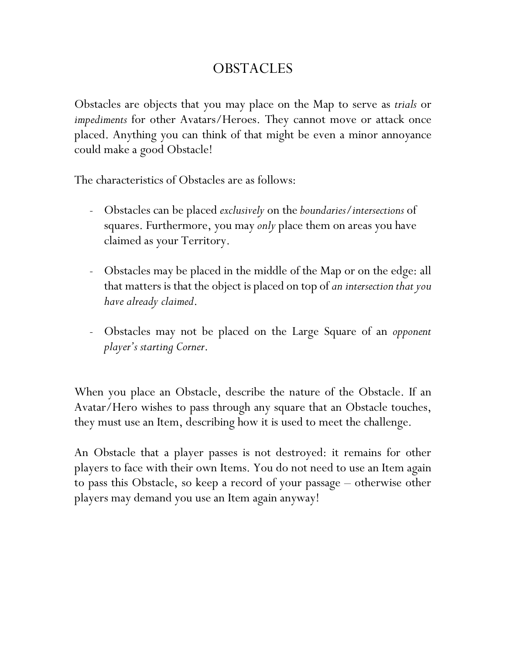### **OBSTACLES**

Obstacles are objects that you may place on the Map to serve as *trials* or *impediments* for other Avatars/Heroes. They cannot move or attack once placed. Anything you can think of that might be even a minor annoyance could make a good Obstacle!

The characteristics of Obstacles are as follows:

- Obstacles can be placed *exclusively* on the *boundaries/intersections* of squares. Furthermore, you may *only* place them on areas you have claimed as your Territory.
- Obstacles may be placed in the middle of the Map or on the edge: all that matters is that the object is placed on top of *an intersection that you have already claimed*.
- Obstacles may not be placed on the Large Square of an *opponent player's starting Corner*.

When you place an Obstacle, describe the nature of the Obstacle. If an Avatar/Hero wishes to pass through any square that an Obstacle touches, they must use an Item, describing how it is used to meet the challenge.

An Obstacle that a player passes is not destroyed: it remains for other players to face with their own Items. You do not need to use an Item again to pass this Obstacle, so keep a record of your passage – otherwise other players may demand you use an Item again anyway!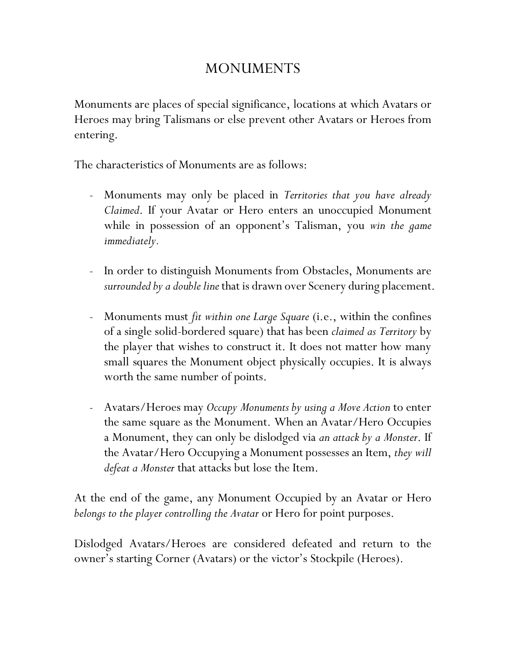# MONUMENTS

Monuments are places of special significance, locations at which Avatars or Heroes may bring Talismans or else prevent other Avatars or Heroes from entering.

The characteristics of Monuments are as follows:

- Monuments may only be placed in *Territories that you have already Claimed*. If your Avatar or Hero enters an unoccupied Monument while in possession of an opponent's Talisman, you *win the game immediately.*
- In order to distinguish Monuments from Obstacles, Monuments are *surrounded by a double line* that is drawn over Scenery during placement.
- Monuments must *fit within one Large Square* (i.e., within the confines of a single solid-bordered square) that has been *claimed as Territory* by the player that wishes to construct it. It does not matter how many small squares the Monument object physically occupies. It is always worth the same number of points.
- Avatars/Heroes may *Occupy Monuments by using a Move Action* to enter the same square as the Monument. When an Avatar/Hero Occupies a Monument, they can only be dislodged via *an attack by a Monster*. If the Avatar/Hero Occupying a Monument possesses an Item, *they will defeat a Monster* that attacks but lose the Item.

At the end of the game, any Monument Occupied by an Avatar or Hero *belongs to the player controlling the Avatar* or Hero for point purposes.

Dislodged Avatars/Heroes are considered defeated and return to the owner's starting Corner (Avatars) or the victor's Stockpile (Heroes).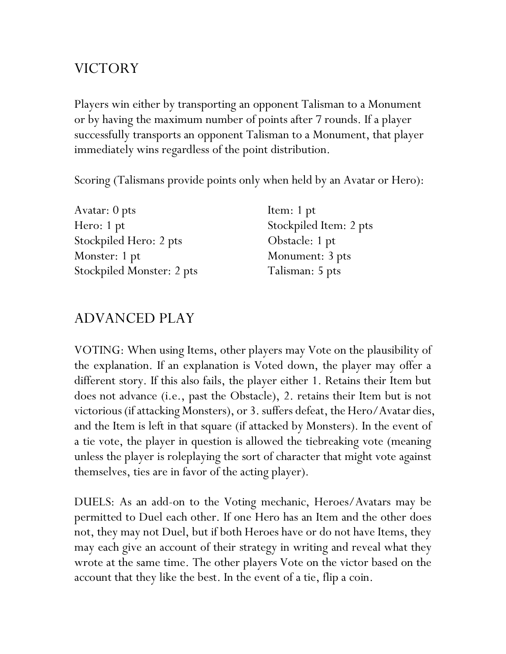# VICTORY

Players win either by transporting an opponent Talisman to a Monument or by having the maximum number of points after 7 rounds. If a player successfully transports an opponent Talisman to a Monument, that player immediately wins regardless of the point distribution.

Scoring (Talismans provide points only when held by an Avatar or Hero):

| Avatar: 0 pts             | Item: 1 pt             |
|---------------------------|------------------------|
| Hero: 1 pt                | Stockpiled Item: 2 pts |
| Stockpiled Hero: 2 pts    | Obstacle: 1 pt         |
| Monster: 1 pt             | Monument: 3 pts        |
| Stockpiled Monster: 2 pts | Talisman: 5 pts        |

# ADVANCED PLAY

VOTING: When using Items, other players may Vote on the plausibility of the explanation. If an explanation is Voted down, the player may offer a different story. If this also fails, the player either 1. Retains their Item but does not advance (i.e., past the Obstacle), 2. retains their Item but is not victorious (if attacking Monsters), or 3. suffers defeat, the Hero/Avatar dies, and the Item is left in that square (if attacked by Monsters). In the event of a tie vote, the player in question is allowed the tiebreaking vote (meaning unless the player is roleplaying the sort of character that might vote against themselves, ties are in favor of the acting player).

DUELS: As an add-on to the Voting mechanic, Heroes/Avatars may be permitted to Duel each other. If one Hero has an Item and the other does not, they may not Duel, but if both Heroes have or do not have Items, they may each give an account of their strategy in writing and reveal what they wrote at the same time. The other players Vote on the victor based on the account that they like the best. In the event of a tie, flip a coin.